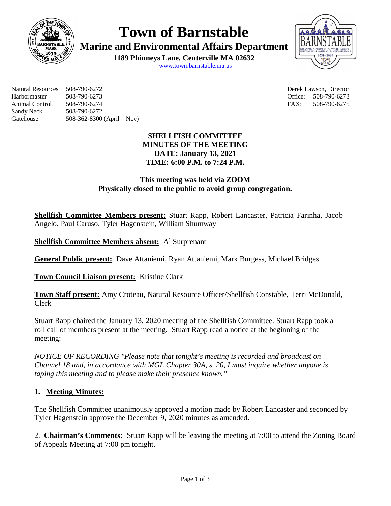

**Town of Barnstable**

**Marine and Environmental Affairs Department**

**1189 Phinneys Lane, Centerville MA 02632**





Natural Resources 508-790-6272 Derek Lawson, Director Harbormaster 508-790-6273 Office: 508-790-6273 Animal Control 508-790-6274 FAX: 508-790-6275 Sandy Neck 508-790-6272 Gatehouse 508-362-8300 (April – Nov)

## **SHELLFISH COMMITTEE MINUTES OF THE MEETING DATE: January 13, 2021 TIME: 6:00 P.M. to 7:24 P.M.**

## **This meeting was held via ZOOM Physically closed to the public to avoid group congregation.**

**Shellfish Committee Members present:** Stuart Rapp, Robert Lancaster, Patricia Farinha, Jacob Angelo, Paul Caruso, Tyler Hagenstein, William Shumway

**Shellfish Committee Members absent:** Al Surprenant

**General Public present:** Dave Attaniemi, Ryan Attaniemi, Mark Burgess, Michael Bridges

**Town Council Liaison present:** Kristine Clark

**Town Staff present:** Amy Croteau, Natural Resource Officer/Shellfish Constable, Terri McDonald, Clerk

Stuart Rapp chaired the January 13, 2020 meeting of the Shellfish Committee. Stuart Rapp took a roll call of members present at the meeting. Stuart Rapp read a notice at the beginning of the meeting:

*NOTICE OF RECORDING "Please note that tonight's meeting is recorded and broadcast on Channel 18 and, in accordance with MGL Chapter 30A, s. 20, I must inquire whether anyone is taping this meeting and to please make their presence known."*

# **1. Meeting Minutes:**

The Shellfish Committee unanimously approved a motion made by Robert Lancaster and seconded by Tyler Hagenstein approve the December 9, 2020 minutes as amended.

2. **Chairman's Comments:** Stuart Rapp will be leaving the meeting at 7:00 to attend the Zoning Board of Appeals Meeting at 7:00 pm tonight.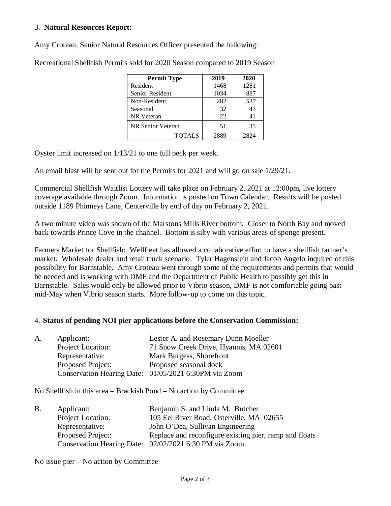#### 3. **Natural Resources Report:**

Amy Croteau, Senior Natural Resources Officer presented the following:

| <b>Permit Type</b> | 2019 | 2020 |
|--------------------|------|------|
| Resident           | 1468 | 1281 |
| Senior Resident    | 1034 | 887  |
| Non-Resident       | 282  | 537  |
| Seasonal           | 32   | 43   |
| <b>NR</b> Veteran  | 22   | 41   |
| NR Senior Veteran  | 51   | 35   |
| <b>TOTALS</b>      | 2889 | 2824 |

Recreational Shellfish Permits sold for 2020 Season compared to 2019 Season

Oyster limit increased on 1/13/21 to one full peck per week.

An email blast will be sent out for the Permits for 2021 and will go on sale 1/29/21.

Commercial Shellfish Waitlist Lottery will take place on February 2, 2021 at 12:00pm, live lottery coverage available through Zoom. Information is posted on Town Calendar. Results will be posted outside 1189 Phinneys Lane, Centerville by end of day on February 2, 2021.

A two minute video was shown of the Marstons Mills River bottom. Closer to North Bay and moved back towards Prince Cove in the channel. Bottom is silty with various areas of sponge present.

Farmers Market for Shellfish: Wellfleet has allowed a collaborative effort to have a shellfish farmer's market. Wholesale dealer and retail truck scenario. Tyler Hagenstein and Jacob Angelo inquired of this possibility for Barnstable. Amy Croteau went through some of the requirements and permits that would be needed and is working with DMF and the Department of Public Health to possibly get this in Barnstable. Sales would only be allowed prior to Vibrio season, DMF is not comfortable going past mid-May when Vibrio season starts. More follow-up to come on this topic.

#### 4. **Status of pending NOI pier applications before the Conservation Commission:**

| A. | Applicant:        | Lester A. and Rosemary Dunn Moeller                   |
|----|-------------------|-------------------------------------------------------|
|    | Project Location: | 71 Snow Creek Drive, Hyannis, MA 02601                |
|    | Representative:   | Mark Burgess, Shorefront                              |
|    | Proposed Project: | Proposed seasonal dock                                |
|    |                   | Conservation Hearing Date: 01/05/2021 6:30PM via Zoom |

No Shellfish in this area – Brackish Pond – No action by Committee

| Applicant:               | Benjamin S. and Linda M. Butcher                       |
|--------------------------|--------------------------------------------------------|
| Project Location:        | 105 Eel River Road, Osterville, MA 02655               |
| Representative:          | John O'Dea, Sullivan Engineering                       |
| <b>Proposed Project:</b> | Replace and reconfigure existing pier, ramp and floats |
|                          | Conservation Hearing Date: 02/02/2021 6:30 PM via Zoom |
|                          |                                                        |

No issue pier – No action by Committee